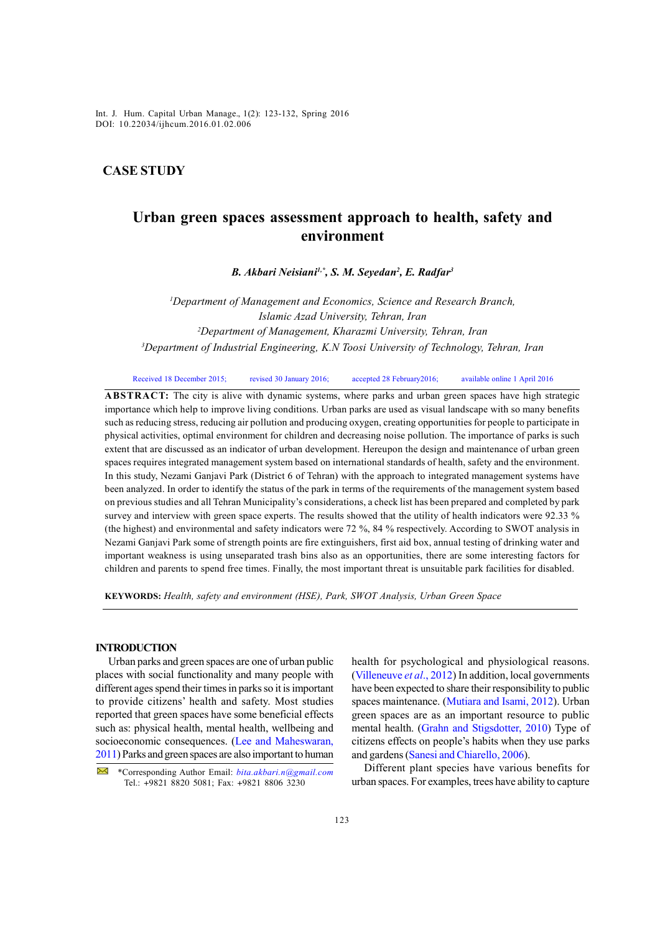*Int. J. Hum. Capital Urban Manage., 1(2): 123-132, Spring 2016* Int. J. Hum. Capital Urban Manage., 1(2): 123-132, Spring 2016 DOI: 10.22034/ijhcum.2016.01.02.006

## **CASE STUDY**

# **Urban green spaces assessment approach to health, safety and environment**

*B. Akbari Neisiani1,\*, S. M. Seyedan2 , E. Radfar3*

 *Department of Management and Economics, Science and Research Branch, Islamic Azad University, Tehran, Iran Department of Management, Kharazmi University, Tehran, Iran Department of Industrial Engineering, K.N Toosi University of Technology, Tehran, Iran*

Received 18 December 2015; revised 30 January 2016; accepted 28 February 2016; available online 1 April 2016

**ABSTRACT:** The city is alive with dynamic systems, where parks and urban green spaces have high strategic importance which help to improve living conditions. Urban parks are used as visual landscape with so many benefits such as reducing stress, reducing air pollution and producing oxygen, creating opportunities for people to participate in physical activities, optimal environment for children and decreasing noise pollution. The importance of parks is such extent that are discussed as an indicator of urban development. Hereupon the design and maintenance of urban green spaces requires integrated management system based on international standards of health, safety and the environment. In this study, Nezami Ganjavi Park (District 6 of Tehran) with the approach to integrated management systems have been analyzed. In order to identify the status of the park in terms of the requirements of the management system based on previous studies and all Tehran Municipality's considerations, a check list has been prepared and completed by park survey and interview with green space experts. The results showed that the utility of health indicators were 92.33 % (the highest) and environmental and safety indicators were 72 %, 84 % respectively. According to SWOT analysis in Nezami Ganjavi Park some of strength points are fire extinguishers, first aid box, annual testing of drinking water and important weakness is using unseparated trash bins also as an opportunities, there are some interesting factors for children and parents to spend free times. Finally, the most important threat is unsuitable park facilities for disabled.

**KEYWORDS:** *Health, safety and environment (HSE), Park, SWOT Analysis, Urban Green Space*

## **INTRODUCTION**

Urban parks and green spaces are one of urban public places with social functionality and many people with different ages spend their times in parks so it is important to provide citizens' health and safety. Most studies reported that green spaces have some beneficial effects such as: physical health, mental health, wellbeing and socioeconomic consequences. (Lee and Maheswaran, 2011) Parks and green spaces are also important to human health for psychological and physiological reasons. (Villeneuve *et al*., 2012) In addition, local governments have been expected to share their responsibility to public spaces maintenance. (Mutiara and Isami, 2012). Urban green spaces are as an important resource to public mental health. (Grahn and Stigsdotter, 2010) Type of citizens effects on people's habits when they use parks and gardens (Sanesi and Chiarello, 2006).

Different plant species have various benefits for urban spaces. For examples, trees have ability to capture

 <sup>\*</sup>Corresponding Author Email: *bita.akbari.n@gmail.com* Tel.: +9821 8820 5081; Fax: +9821 8806 3230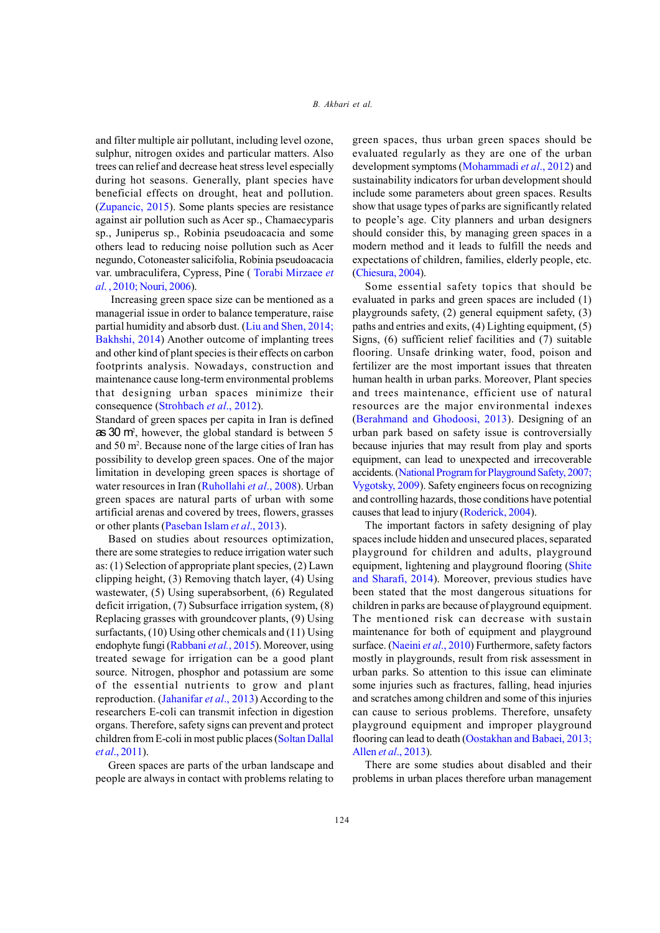and filter multiple air pollutant, including level ozone, sulphur, nitrogen oxides and particular matters. Also trees can relief and decrease heat stress level especially during hot seasons. Generally, plant species have beneficial effects on drought, heat and pollution. (Zupancic, 2015). Some plants species are resistance against air pollution such as Acer sp., Chamaecyparis sp., Juniperus sp., Robinia pseudoacacia and some others lead to reducing noise pollution such as Acer negundo, Cotoneaster salicifolia, Robinia pseudoacacia var. umbraculifera, Cypress, Pine ( Torabi Mirzaee *et al*. , 2010; Nouri, 2006).

 Increasing green space size can be mentioned as a managerial issue in order to balance temperature, raise partial humidity and absorb dust. (Liu and Shen, 2014; Bakhshi, 2014) Another outcome of implanting trees and other kind of plant species is their effects on carbon footprints analysis. Nowadays, construction and maintenance cause long-term environmental problems that designing urban spaces minimize their consequence (Strohbach *et al*., 2012).

Standard of green spaces per capita in Iran is defined as 30 m<sup>2</sup>, however, the global standard is between 5 and 50 m<sup>2</sup>. Because none of the large cities of Iran has possibility to develop green spaces. One of the major limitation in developing green spaces is shortage of water resources in Iran (Ruhollahi *et al*., 2008). Urban green spaces are natural parts of urban with some artificial arenas and covered by trees, flowers, grasses or other plants (Paseban Islam *et al*., 2013).

Based on studies about resources optimization, there are some strategies to reduce irrigation water such as: (1) Selection of appropriate plant species, (2) Lawn clipping height, (3) Removing thatch layer, (4) Using wastewater, (5) Using superabsorbent, (6) Regulated deficit irrigation, (7) Subsurface irrigation system, (8) Replacing grasses with groundcover plants, (9) Using surfactants, (10) Using other chemicals and (11) Using endophyte fungi (Rabbani *et al.*, 2015). Moreover, using treated sewage for irrigation can be a good plant source. Nitrogen, phosphor and potassium are some of the essential nutrients to grow and plant reproduction. (Jahanifar *et al*., 2013) According to the researchers E-coli can transmit infection in digestion organs. Therefore, safety signs can prevent and protect children from E-coli in most public places (Soltan Dallal *et al*., 2011).

Green spaces are parts of the urban landscape and people are always in contact with problems relating to green spaces, thus urban green spaces should be evaluated regularly as they are one of the urban development symptoms (Mohammadi *et al*., 2012) and sustainability indicators for urban development should include some parameters about green spaces. Results show that usage types of parks are significantly related to people's age. City planners and urban designers should consider this, by managing green spaces in a modern method and it leads to fulfill the needs and expectations of children, families, elderly people, etc. (Chiesura, 2004).

Some essential safety topics that should be evaluated in parks and green spaces are included (1) playgrounds safety, (2) general equipment safety, (3) paths and entries and exits, (4) Lighting equipment, (5) Signs, (6) sufficient relief facilities and (7) suitable flooring. Unsafe drinking water, food, poison and fertilizer are the most important issues that threaten human health in urban parks. Moreover, Plant species and trees maintenance, efficient use of natural resources are the major environmental indexes (Berahmand and Ghodoosi, 2013). Designing of an urban park based on safety issue is controversially because injuries that may result from play and sports equipment, can lead to unexpected and irrecoverable accidents. (National Program for Playground Safety, 2007; Vygotsky, 2009). Safety engineers focus on recognizing and controlling hazards, those conditions have potential causes that lead to injury (Roderick, 2004).

The important factors in safety designing of play spaces include hidden and unsecured places, separated playground for children and adults, playground equipment, lightening and playground flooring (Shite and Sharafi, 2014). Moreover, previous studies have been stated that the most dangerous situations for children in parks are because of playground equipment. The mentioned risk can decrease with sustain maintenance for both of equipment and playground surface. (Naeini *et al*., 2010) Furthermore, safety factors mostly in playgrounds, result from risk assessment in urban parks. So attention to this issue can eliminate some injuries such as fractures, falling, head injuries and scratches among children and some of this injuries can cause to serious problems. Therefore, unsafety playground equipment and improper playground flooring can lead to death (Oostakhan and Babaei, 2013; Allen *et al*., 2013).

There are some studies about disabled and their problems in urban places therefore urban management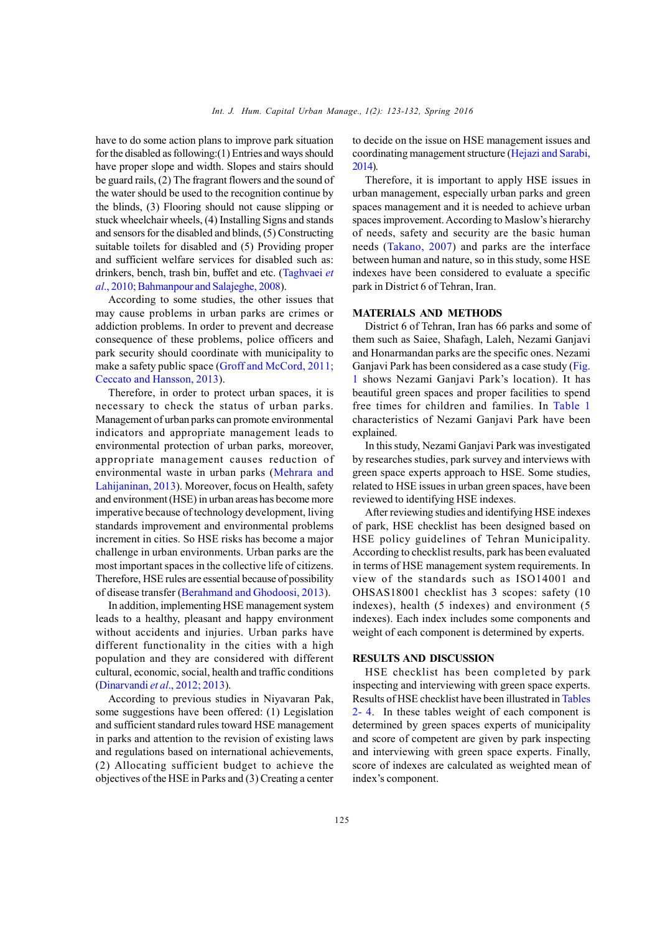have to do some action plans to improve park situation for the disabled as following:(1) Entries and ways should have proper slope and width. Slopes and stairs should be guard rails, (2) The fragrant flowers and the sound of the water should be used to the recognition continue by the blinds, (3) Flooring should not cause slipping or stuck wheelchair wheels, (4) Installing Signs and stands and sensors for the disabled and blinds, (5) Constructing suitable toilets for disabled and (5) Providing proper and sufficient welfare services for disabled such as: drinkers, bench, trash bin, buffet and etc. (Taghvaei *et al*., 2010; Bahmanpour and Salajeghe, 2008).

According to some studies, the other issues that may cause problems in urban parks are crimes or addiction problems. In order to prevent and decrease consequence of these problems, police officers and park security should coordinate with municipality to make a safety public space (Groff and McCord, 2011; Ceccato and Hansson, 2013).

Therefore, in order to protect urban spaces, it is necessary to check the status of urban parks. Management of urban parks can promote environmental indicators and appropriate management leads to environmental protection of urban parks, moreover, appropriate management causes reduction of environmental waste in urban parks (Mehrara and Lahijaninan, 2013). Moreover, focus on Health, safety and environment (HSE) in urban areas has become more imperative because of technology development, living standards improvement and environmental problems increment in cities. So HSE risks has become a major challenge in urban environments. Urban parks are the most important spaces in the collective life of citizens. Therefore, HSE rules are essential because of possibility of disease transfer (Berahmand and Ghodoosi, 2013).

In addition, implementing HSE management system leads to a healthy, pleasant and happy environment without accidents and injuries. Urban parks have different functionality in the cities with a high population and they are considered with different cultural, economic, social, health and traffic conditions (Dinarvandi *et al*., 2012; 2013).

According to previous studies in Niyavaran Pak, some suggestions have been offered: (1) Legislation and sufficient standard rules toward HSE management in parks and attention to the revision of existing laws and regulations based on international achievements, (2) Allocating sufficient budget to achieve the objectives of the HSE in Parks and (3) Creating a center to decide on the issue on HSE management issues and coordinating management structure (Hejazi and Sarabi, 2014).

Therefore, it is important to apply HSE issues in urban management, especially urban parks and green spaces management and it is needed to achieve urban spaces improvement. According to Maslow's hierarchy of needs, safety and security are the basic human needs (Takano, 2007) and parks are the interface between human and nature, so in this study, some HSE indexes have been considered to evaluate a specific park in District 6 of Tehran, Iran.

## **MATERIALS AND METHODS**

District 6 of Tehran, Iran has 66 parks and some of them such as Saiee, Shafagh, Laleh, Nezami Ganjavi and Honarmandan parks are the specific ones. Nezami Ganjavi Park has been considered as a case study (Fig. 1 shows Nezami Ganjavi Park's location). It has beautiful green spaces and proper facilities to spend free times for children and families. In Table 1 characteristics of Nezami Ganjavi Park have been explained.

In this study, Nezami Ganjavi Park was investigated by researches studies, park survey and interviews with green space experts approach to HSE. Some studies, related to HSE issues in urban green spaces, have been reviewed to identifying HSE indexes.

After reviewing studies and identifying HSE indexes of park, HSE checklist has been designed based on HSE policy guidelines of Tehran Municipality. According to checklist results, park has been evaluated in terms of HSE management system requirements. In view of the standards such as ISO14001 and OHSAS18001 checklist has 3 scopes: safety (10 indexes), health (5 indexes) and environment (5 indexes). Each index includes some components and weight of each component is determined by experts.

## **RESULTS AND DISCUSSION**

HSE checklist has been completed by park inspecting and interviewing with green space experts. Results of HSE checklist have been illustrated in Tables 2- 4. In these tables weight of each component is determined by green spaces experts of municipality and score of competent are given by park inspecting and interviewing with green space experts. Finally, score of indexes are calculated as weighted mean of index's component.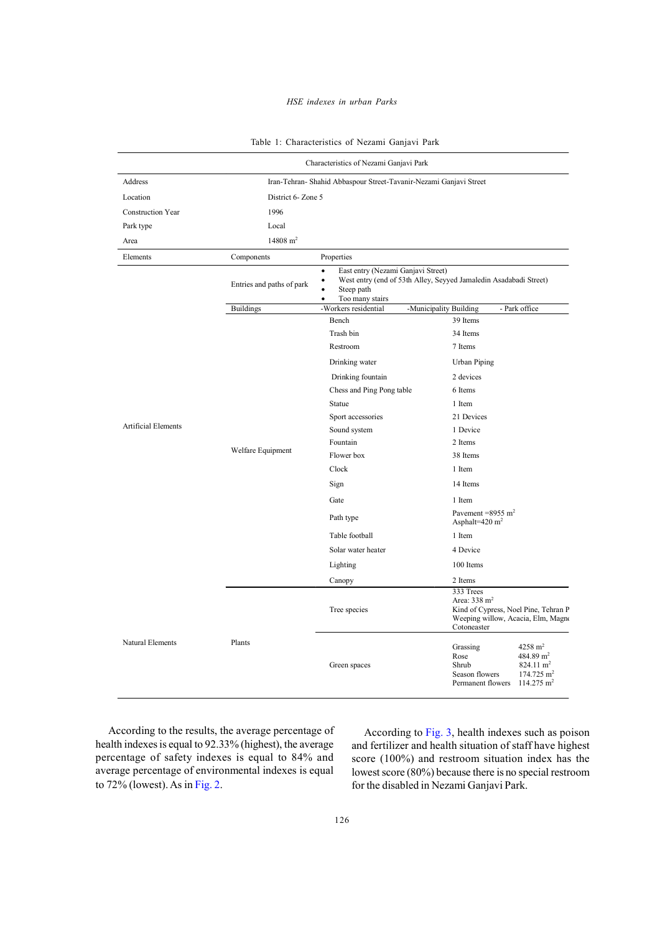## *HSE indexes in urban Parks*

| Table 1: Characteristics of Nezami Ganjavi Park |  |  |  |  |
|-------------------------------------------------|--|--|--|--|
|-------------------------------------------------|--|--|--|--|

| Characteristics of Nezami Ganjavi Park |                                                                    |                                                                                                    |                                                                                                                                                                           |  |
|----------------------------------------|--------------------------------------------------------------------|----------------------------------------------------------------------------------------------------|---------------------------------------------------------------------------------------------------------------------------------------------------------------------------|--|
| Address                                | Iran-Tehran- Shahid Abbaspour Street-Tavanir-Nezami Ganjavi Street |                                                                                                    |                                                                                                                                                                           |  |
| Location                               | District 6- Zone 5                                                 |                                                                                                    |                                                                                                                                                                           |  |
| <b>Construction Year</b>               | 1996                                                               |                                                                                                    |                                                                                                                                                                           |  |
| Park type                              | Local                                                              |                                                                                                    |                                                                                                                                                                           |  |
| Area                                   | $14808 \text{ m}^2$                                                |                                                                                                    |                                                                                                                                                                           |  |
| Elements                               | Components                                                         | Properties                                                                                         |                                                                                                                                                                           |  |
|                                        | Entries and paths of park                                          | East entry (Nezami Ganjavi Street)<br>$\bullet$<br>Steep path<br>$\bullet$<br>Too many stairs<br>٠ | West entry (end of 53th Alley, Seyyed Jamaledin Asadabadi Street)                                                                                                         |  |
|                                        | <b>Buildings</b>                                                   | -Workers residential                                                                               | -Municipality Building<br>- Park office                                                                                                                                   |  |
|                                        |                                                                    | Bench                                                                                              | 39 Items                                                                                                                                                                  |  |
|                                        |                                                                    | Trash bin                                                                                          | 34 Items                                                                                                                                                                  |  |
|                                        |                                                                    | Restroom                                                                                           | 7 Items                                                                                                                                                                   |  |
|                                        |                                                                    | Drinking water                                                                                     | <b>Urban Piping</b>                                                                                                                                                       |  |
|                                        |                                                                    | Drinking fountain                                                                                  | 2 devices                                                                                                                                                                 |  |
|                                        |                                                                    | Chess and Ping Pong table                                                                          | 6 Items                                                                                                                                                                   |  |
|                                        |                                                                    | Statue                                                                                             | 1 Item                                                                                                                                                                    |  |
| <b>Artificial Elements</b>             |                                                                    | Sport accessories                                                                                  | 21 Devices                                                                                                                                                                |  |
|                                        |                                                                    | Sound system                                                                                       | 1 Device                                                                                                                                                                  |  |
|                                        | Welfare Equipment                                                  | Fountain                                                                                           | 2 Items                                                                                                                                                                   |  |
|                                        |                                                                    | Flower box                                                                                         | 38 Items                                                                                                                                                                  |  |
|                                        |                                                                    | Clock                                                                                              | 1 Item                                                                                                                                                                    |  |
|                                        |                                                                    | Sign                                                                                               | 14 Items                                                                                                                                                                  |  |
|                                        |                                                                    | Gate                                                                                               | 1 Item                                                                                                                                                                    |  |
|                                        |                                                                    | Path type                                                                                          | Pavement = $8955 \text{ m}^2$<br>Asphalt= $420 \text{ m}^2$                                                                                                               |  |
|                                        |                                                                    | Table football                                                                                     | 1 Item                                                                                                                                                                    |  |
|                                        |                                                                    | Solar water heater                                                                                 | 4 Device                                                                                                                                                                  |  |
|                                        |                                                                    | Lighting                                                                                           | 100 Items                                                                                                                                                                 |  |
|                                        |                                                                    | Canopy                                                                                             | 2 Items                                                                                                                                                                   |  |
|                                        |                                                                    | Tree species                                                                                       | 333 Trees<br>Area: $338 \text{ m}^2$<br>Kind of Cypress, Noel Pine, Tehran P<br>Weeping willow, Acacia, Elm, Magno<br>Cotoneaster                                         |  |
| Natural Elements                       | Plants                                                             | Green spaces                                                                                       | $4258 \text{ m}^2$<br>Grassing<br>484.89 $m2$<br>Rose<br>824.11 $m2$<br>Shrub<br>Season flowers<br>$174.725$ m <sup>2</sup><br>$114.275 \text{ m}^2$<br>Permanent flowers |  |

According to the results, the average percentage of health indexes is equal to 92.33% (highest), the average percentage of safety indexes is equal to 84% and average percentage of environmental indexes is equal to 72% (lowest). As in Fig. 2.

According to Fig. 3, health indexes such as poison and fertilizer and health situation of staff have highest score (100%) and restroom situation index has the lowest score (80%) because there is no special restroom for the disabled in Nezami Ganjavi Park.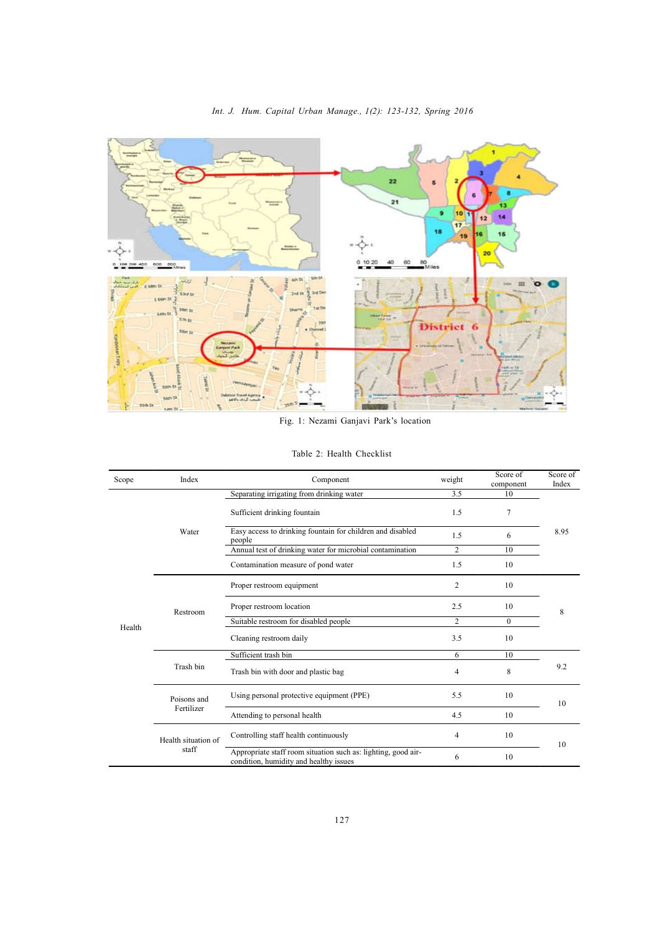

*Int. J. Hum. Capital Urban Manage., 1(2): 123-132, Spring 2016*

Fig. 1: Nezami Ganjavi Park's location

| Table 2: Health Checklist |
|---------------------------|
|---------------------------|

| Scope | Index                        | Component                                                                                               | weight         | Score of<br>component | Score of<br>Index |
|-------|------------------------------|---------------------------------------------------------------------------------------------------------|----------------|-----------------------|-------------------|
|       |                              | Separating irrigating from drinking water                                                               | 3.5            | 10                    |                   |
|       | Water                        | Sufficient drinking fountain                                                                            | 1.5            | 7                     |                   |
|       |                              | Easy access to drinking fountain for children and disabled<br>people                                    | 1.5            | 6                     | 8.95              |
|       |                              | Annual test of drinking water for microbial contamination                                               | 2              | 10                    |                   |
|       |                              | Contamination measure of pond water                                                                     | 1.5            | 10                    |                   |
|       |                              | Proper restroom equipment                                                                               | $\overline{c}$ | 10                    |                   |
|       | Restroom<br>Health           | Proper restroom location                                                                                | 2.5            | 10                    | 8                 |
|       |                              | Suitable restroom for disabled people                                                                   | $\overline{2}$ | $\Omega$              |                   |
|       |                              | Cleaning restroom daily                                                                                 | 3.5            | 10                    |                   |
|       |                              | Sufficient trash bin                                                                                    | 6              | 10                    |                   |
|       | Trash bin                    | Trash bin with door and plastic bag                                                                     | 4              | 8                     | 9.2               |
|       | Poisons and                  | Using personal protective equipment (PPE)                                                               | 5.5            | 10                    | 10                |
|       | Fertilizer                   | Attending to personal health                                                                            | 4.5            | 10                    |                   |
|       | Health situation of<br>staff | Controlling staff health continuously                                                                   | 4              | 10                    | 10                |
|       |                              | Appropriate staff room situation such as: lighting, good air-<br>condition, humidity and healthy issues | 6              | 10                    |                   |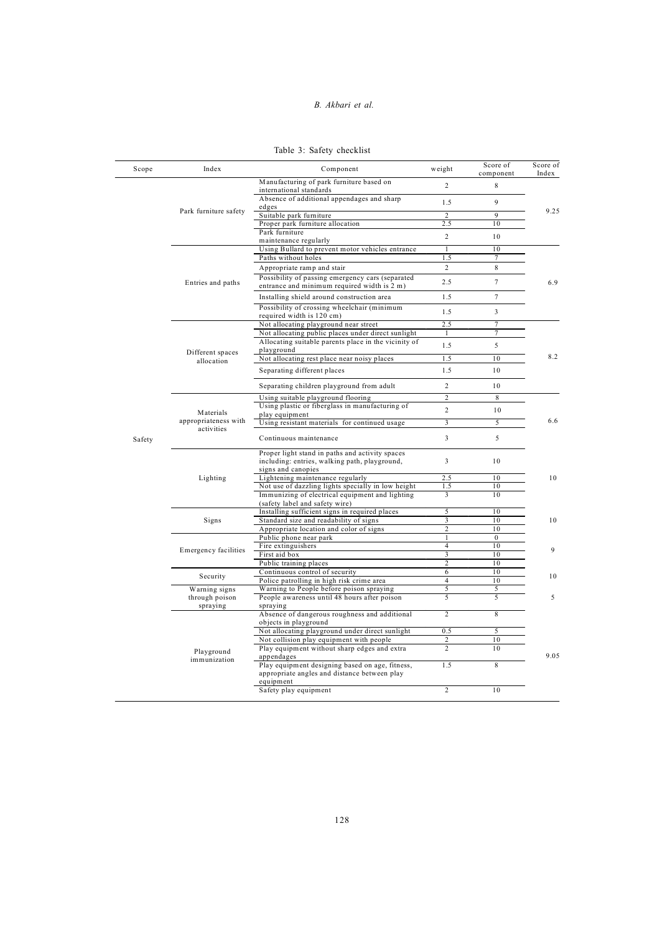#### *Int. J. Hum. Capital Urban Manage., 1(2): 123-132, Spring 2016 B. Akbari et al.*

| Table 3: Safety checklist |
|---------------------------|
|---------------------------|

| Scope        | Index                                                                                                         | Component                                                                                                              | weight                  | Score of<br>component | Score of<br>Index |
|--------------|---------------------------------------------------------------------------------------------------------------|------------------------------------------------------------------------------------------------------------------------|-------------------------|-----------------------|-------------------|
|              |                                                                                                               | Manufacturing of park furniture based on<br>international standards                                                    | $\overline{2}$          | 8                     |                   |
|              | Park furniture safety                                                                                         | Absence of additional appendages and sharp<br>edges                                                                    | 1.5                     | 9                     | 9.25              |
|              |                                                                                                               | Suitable park furniture                                                                                                | $\overline{2}$          | 9                     |                   |
|              |                                                                                                               | Proper park furniture allocation                                                                                       | 2.5                     | 10                    |                   |
|              |                                                                                                               | Park furniture<br>maintenance regularly                                                                                | $\overline{2}$          | 10                    |                   |
|              |                                                                                                               | Using Bullard to prevent motor vehicles entrance                                                                       | $\mathbf{1}$            | 10                    |                   |
|              |                                                                                                               | Paths without holes                                                                                                    | 1.5                     | 7                     |                   |
|              |                                                                                                               | Appropriate ramp and stair                                                                                             | $\overline{2}$          | 8                     |                   |
|              | Entries and paths                                                                                             | Possibility of passing emergency cars (separated<br>entrance and minimum required width is 2 m)                        | 2.5                     | $\overline{7}$        | 6.9               |
|              |                                                                                                               | Installing shield around construction area                                                                             | 1.5                     | $\overline{7}$        |                   |
|              |                                                                                                               | Possibility of crossing wheelchair (minimum<br>required width is 120 cm)                                               | 1.5                     | 3                     |                   |
|              |                                                                                                               | Not allocating playground near street                                                                                  | 2.5                     | $\tau$                |                   |
|              |                                                                                                               | Not allocating public places under direct sunlight                                                                     | 1                       | $\overline{7}$        |                   |
|              |                                                                                                               | Allocating suitable parents place in the vicinity of                                                                   | 1.5                     | 5                     |                   |
|              | Different spaces                                                                                              | playground                                                                                                             |                         |                       |                   |
|              | allocation                                                                                                    | Not allocating rest place near noisy places                                                                            | 1.5                     | 10                    | 8.2               |
|              |                                                                                                               | Separating different places                                                                                            | 1.5                     | 10                    |                   |
|              |                                                                                                               | Separating children playground from adult                                                                              | $\overline{c}$          | 10                    |                   |
|              |                                                                                                               | Using suitable playground flooring                                                                                     | $\overline{2}$          | 8                     |                   |
|              | Materials                                                                                                     | Using plastic or fiberglass in manufacturing of                                                                        | $\overline{c}$          | 10                    |                   |
|              | appropriateness with                                                                                          | play equipment<br>Using resistant materials for continued usage                                                        | $\overline{\mathbf{3}}$ | 5                     | 6.6               |
|              | activities                                                                                                    |                                                                                                                        |                         |                       |                   |
| Safety       |                                                                                                               | Continuous maintenance                                                                                                 | $\overline{\mathbf{3}}$ | 5                     |                   |
|              |                                                                                                               | Proper light stand in paths and activity spaces<br>including: entries, walking path, playground,<br>signs and canopies | $\overline{3}$          | 10                    |                   |
|              | Lighting                                                                                                      | Lightening maintenance regularly                                                                                       | 2.5                     | 10                    | 10                |
|              |                                                                                                               | Not use of dazzling lights specially in low height                                                                     | 1.5                     | 10                    |                   |
|              |                                                                                                               | Immunizing of electrical equipment and lighting<br>(safety label and safety wire)                                      | 3                       | 10                    |                   |
|              |                                                                                                               | Installing sufficient signs in required places                                                                         | 5                       | 10                    |                   |
|              | Signs                                                                                                         | Standard size and readability of signs                                                                                 | 3                       | 10                    | 10                |
|              |                                                                                                               | Appropriate location and color of signs                                                                                | $\overline{c}$          | 10                    |                   |
|              |                                                                                                               | Public phone near park                                                                                                 | $\mathbf{1}$            | $\overline{0}$        |                   |
|              | <b>Emergency facilities</b>                                                                                   | Fire extinguishers<br>First aid box                                                                                    | $\overline{4}$<br>3     | 10<br>10              | 9                 |
|              |                                                                                                               | Public training places                                                                                                 | $\overline{c}$          | 10                    |                   |
|              |                                                                                                               | Continuous control of security                                                                                         | 6                       | 10                    |                   |
|              | Security                                                                                                      | Police patrolling in high risk crime area                                                                              | $\overline{4}$          | 10                    | 10                |
|              | Warning signs                                                                                                 | Warning to People before poison spraying                                                                               | 5                       | 5                     |                   |
|              | through poison<br>spraying                                                                                    | People awareness until 48 hours after poison<br>spraying                                                               | 5                       | 5                     | 5                 |
|              |                                                                                                               | Absence of dangerous roughness and additional                                                                          | $\overline{c}$          | 8                     |                   |
|              |                                                                                                               | objects in playground<br>Not allocating playground under direct sunlight                                               | 0.5                     | 5                     |                   |
|              |                                                                                                               | Not collision play equipment with people                                                                               | 2                       | 10                    |                   |
|              | Playground                                                                                                    | Play equipment without sharp edges and extra                                                                           | $\overline{c}$          | 10                    |                   |
| immunization | appendages<br>Play equipment designing based on age, fitness,<br>appropriate angles and distance between play | 1.5                                                                                                                    | 8                       | 9.05                  |                   |
|              |                                                                                                               | equipment<br>Safety play equipment                                                                                     | $\overline{2}$          | 10                    |                   |
|              |                                                                                                               |                                                                                                                        |                         |                       |                   |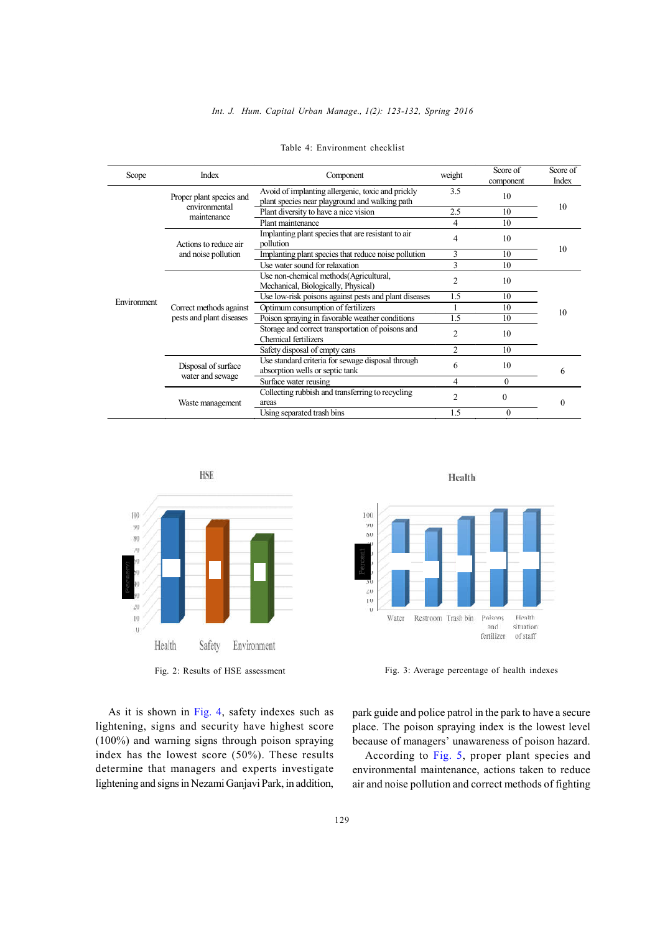## *Int. J. Hum. Capital Urban Manage., 1(2): 123-132, Spring 2016*

| Scope       | Index                                               | Component                                                                                           | weight         | Score of<br>component | Score of<br>Index |
|-------------|-----------------------------------------------------|-----------------------------------------------------------------------------------------------------|----------------|-----------------------|-------------------|
|             | Proper plant species and<br>environmental           | Avoid of implanting allergenic, toxic and prickly<br>plant species near playground and walking path | 3.5            | 10                    |                   |
|             |                                                     | Plant diversity to have a nice vision                                                               | 2.5            | 10                    | 10                |
|             | maintenance                                         | Plant maintenance                                                                                   | 4              | 10                    |                   |
|             | Actions to reduce air                               | Implanting plant species that are resistant to air<br>pollution                                     | 4              | 10                    |                   |
|             | and noise pollution                                 | Implanting plant species that reduce noise pollution                                                | 3              | 10                    | 10                |
|             |                                                     | Use water sound for relaxation                                                                      | 3              | 10                    |                   |
|             |                                                     | Use non-chemical methods (Agricultural,<br>Mechanical, Biologically, Physical)                      | $\overline{2}$ | 10                    |                   |
|             |                                                     | Use low-risk poisons against pests and plant diseases                                               | 1.5            | 10                    |                   |
| Environment | Correct methods against<br>pests and plant diseases | Optimum consumption of fertilizers                                                                  |                | 10                    | 10                |
|             |                                                     | Poison spraying in favorable weather conditions                                                     | 1.5            | 10                    |                   |
|             |                                                     | Storage and correct transportation of poisons and<br>Chemical fertilizers                           | $\overline{2}$ | 10                    |                   |
|             |                                                     | Safety disposal of empty cans                                                                       | $\overline{2}$ | 10                    |                   |
|             | Disposal of surface                                 | Use standard criteria for sewage disposal through<br>absorption wells or septic tank                | 6              | 10                    | 6                 |
|             | water and sewage                                    | Surface water reusing                                                                               | 4              | $\Omega$              |                   |
|             | Waste management                                    | Collecting rubbish and transferring to recycling<br>areas                                           | $\mathfrak{D}$ | $\theta$              | $\Omega$          |
|             |                                                     | Using separated trash bins                                                                          | 1.5            | $\Omega$              |                   |

|  | Table 4: Environment checklist |  |
|--|--------------------------------|--|
|--|--------------------------------|--|



As it is shown in Fig. 4, safety indexes such as lightening, signs and security have highest score (100%) and warning signs through poison spraying index has the lowest score (50%). These results determine that managers and experts investigate lightening and signs in Nezami Ganjavi Park, in addition,





Fig. 2: Results of HSE assessment Fig. 3: Average percentage of health indexes

park guide and police patrol in the park to have a secure place. The poison spraying index is the lowest level because of managers' unawareness of poison hazard.

According to Fig. 5, proper plant species and environmental maintenance, actions taken to reduce air and noise pollution and correct methods of fighting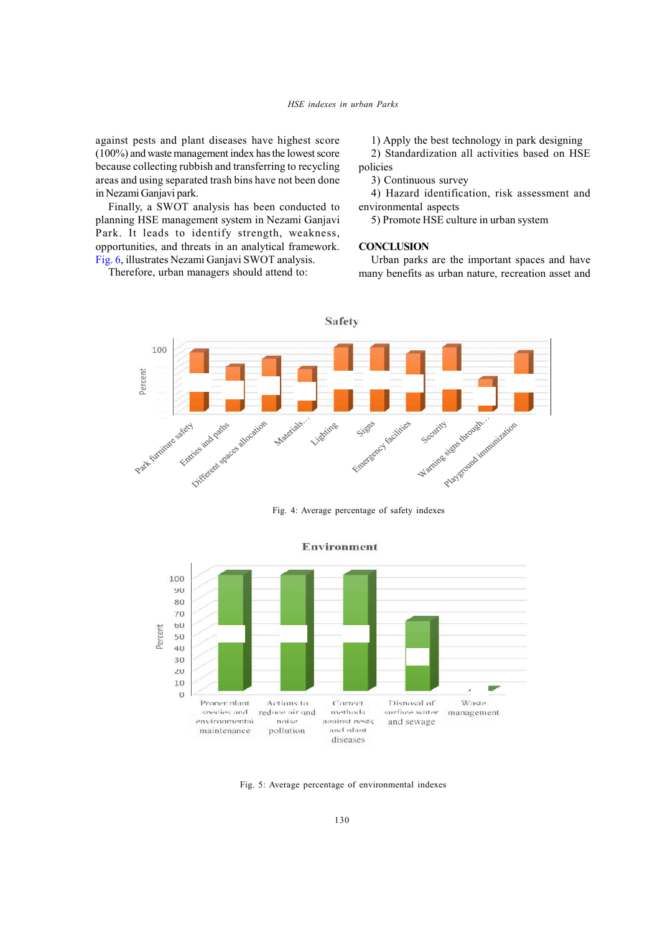against pests and plant diseases have highest score (100%) and waste management index has the lowest score because collecting rubbish and transferring to recycling areas and using separated trash bins have not been done in Nezami Ganjavi park.

Finally, a SWOT analysis has been conducted to planning HSE management system in Nezami Ganjavi Park. It leads to identify strength, weakness, opportunities, and threats in an analytical framework. Fig. 6, illustrates Nezami Ganjavi SWOT analysis.

Therefore, urban managers should attend to:

1) Apply the best technology in park designing

2) Standardization all activities based on HSE policies

3) Continuous survey

4) Hazard identification, risk assessment and environmental aspects

5) Promote HSE culture in urban system

## **CONCLUSION**

Urban parks are the important spaces and have many benefits as urban nature, recreation asset and



Fig. 4: Average percentage of safety indexes



Fig. 5: Average percentage of environmental indexes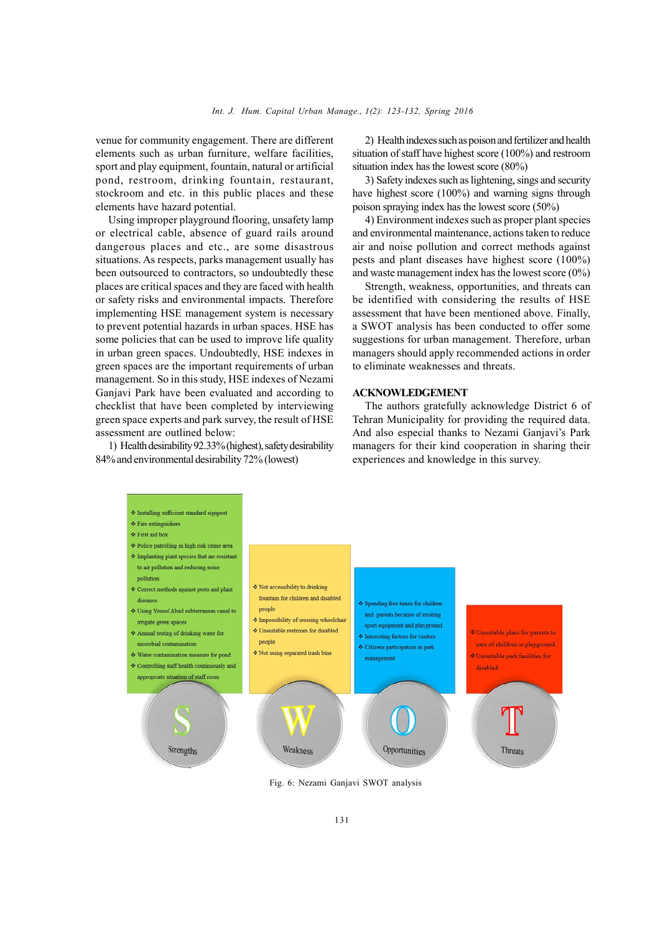venue for community engagement. There are different elements such as urban furniture, welfare facilities, sport and play equipment, fountain, natural or artificial pond, restroom, drinking fountain, restaurant, stockroom and etc. in this public places and these elements have hazard potential.

Using improper playground flooring, unsafety lamp or electrical cable, absence of guard rails around dangerous places and etc., are some disastrous situations. As respects, parks management usually has been outsourced to contractors, so undoubtedly these places are critical spaces and they are faced with health or safety risks and environmental impacts. Therefore implementing HSE management system is necessary to prevent potential hazards in urban spaces. HSE has some policies that can be used to improve life quality in urban green spaces. Undoubtedly, HSE indexes in green spaces are the important requirements of urban management. So in this study, HSE indexes of Nezami Ganjavi Park have been evaluated and according to checklist that have been completed by interviewing green space experts and park survey, the result of HSE assessment are outlined below:

1) Health desirability 92.33% (highest), safety desirability 84% and environmental desirability 72% (lowest)

2) Health indexes such as poison and fertilizer and health situation of staff have highest score (100%) and restroom situation index has the lowest score (80%)

3) Safety indexes such as lightening, sings and security have highest score (100%) and warning signs through poison spraying index has the lowest score (50%)

4) Environment indexes such as proper plant species and environmental maintenance, actions taken to reduce air and noise pollution and correct methods against pests and plant diseases have highest score (100%) and waste management index has the lowest score (0%)

Strength, weakness, opportunities, and threats can be identified with considering the results of HSE assessment that have been mentioned above. Finally, a SWOT analysis has been conducted to offer some suggestions for urban management. Therefore, urban managers should apply recommended actions in order to eliminate weaknesses and threats.

## **ACKNOWLEDGEMENT**

The authors gratefully acknowledge District 6 of Tehran Municipality for providing the required data. And also especial thanks to Nezami Ganjavi's Park managers for their kind cooperation in sharing their experiences and knowledge in this survey.



Fig. 6: Nezami Ganjavi SWOT analysis